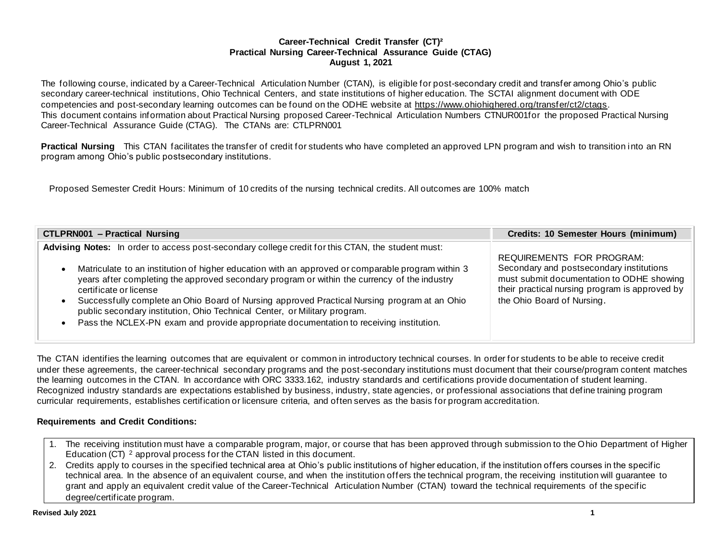### **Career-Technical Credit Transfer (CT)² Practical Nursing Career-Technical Assurance Guide (CTAG) August 1, 2021**

The following course, indicated by a Career-Technical Articulation Number (CTAN), is eligible for post-secondary credit and transfer among Ohio's public secondary career-technical institutions, Ohio Technical Centers, and state institutions of higher education. The SCTAI alignment document with ODE competencies and post-secondary learning outcomes can be found on the ODHE website at <https://www.ohiohighered.org/transfer/ct2/ctags>. This document contains information about Practical Nursing proposed Career-Technical Articulation Numbers CTNUR001for the proposed Practical Nursing Career-Technical Assurance Guide (CTAG). The CTANs are: CTLPRN001

**Practical Nursing** This CTAN facilitates the transfer of credit for students who have completed an approved LPN program and wish to transition into an RN program among Ohio's public postsecondary institutions.

Proposed Semester Credit Hours: Minimum of 10 credits of the nursing technical credits. All outcomes are 100% match

| <b>CTLPRN001 - Practical Nursing</b>                                                                                                                                                                   | <b>Credits: 10 Semester Hours (minimum)</b>                                                 |
|--------------------------------------------------------------------------------------------------------------------------------------------------------------------------------------------------------|---------------------------------------------------------------------------------------------|
| Advising Notes: In order to access post-secondary college credit for this CTAN, the student must:<br>Matriculate to an institution of higher education with an approved or comparable program within 3 | REQUIREMENTS FOR PROGRAM:<br>Secondary and postsecondary institutions                       |
| years after completing the approved secondary program or within the currency of the industry<br>certificate or license                                                                                 | must submit documentation to ODHE showing<br>their practical nursing program is approved by |
| Successfully complete an Ohio Board of Nursing approved Practical Nursing program at an Ohio<br>public secondary institution, Ohio Technical Center, or Military program.                              | the Ohio Board of Nursing.                                                                  |
| Pass the NCLEX-PN exam and provide appropriate documentation to receiving institution.                                                                                                                 |                                                                                             |

The CTAN identifies the learning outcomes that are equivalent or common in introductory technical courses. In order for students to be able to receive credit under these agreements, the career-technical secondary programs and the post-secondary institutions must document that their course/program content matches the learning outcomes in the CTAN. In accordance with ORC 3333.162, industry standards and certifications provide documentation of student learning. Recognized industry standards are expectations established by business, industry, state agencies, or professional associations that define training program curricular requirements, establishes certification or licensure criteria, and often serves as the basis for program accreditation.

## **Requirements and Credit Conditions:**

- 1. The receiving institution must have a comparable program, major, or course that has been approved through submission to the Ohio Department of Higher Education (CT) <sup>2</sup> approval process for the CTAN listed in this document.
- 2. Credits apply to courses in the specified technical area at Ohio's public institutions of higher education, if the institution offers courses in the specific technical area. In the absence of an equivalent course, and when the institution offers the technical program, the receiving institution will guarantee to grant and apply an equivalent credit value of the Career-Technical Articulation Number (CTAN) toward the technical requirements of the specific degree/certificate program.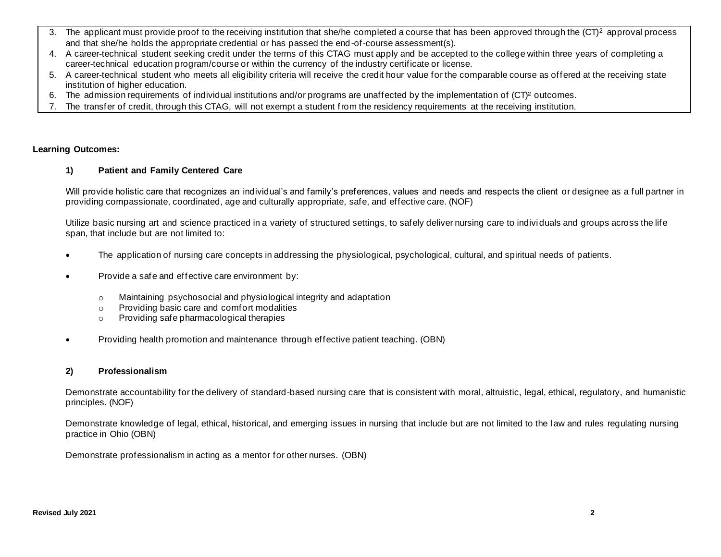- 3. The applicant must provide proof to the receiving institution that she/he completed a course that has been approved through the  $(CT)^2$  approval process and that she/he holds the appropriate credential or has passed the end-of-course assessment(s).
- 4. A career-technical student seeking credit under the terms of this CTAG must apply and be accepted to the college within three years of completing a career-technical education program/course or within the currency of the industry certificate or license.
- 5. A career-technical student who meets all eligibility criteria will receive the credit hour value for the comparable course as offered at the receiving state institution of higher education.
- 6. The admission requirements of individual institutions and/or programs are unaffected by the implementation of (CT)² outcomes.
- 7. The transfer of credit, through this CTAG, will not exempt a student from the residency requirements at the receiving institution.

#### **Learning Outcomes:**

#### **1) Patient and Family Centered Care**

Will provide holistic care that recognizes an individual's and family's preferences, values and needs and respects the client or designee as a full partner in providing compassionate, coordinated, age and culturally appropriate, safe, and effective care. (NOF)

Utilize basic nursing art and science practiced in a variety of structured settings, to safely deliver nursing care to individuals and groups across the life span, that include but are not limited to:

- The application of nursing care concepts in addressing the physiological, psychological, cultural, and spiritual needs of patients.
- Provide a safe and effective care environment by:
	- o Maintaining psychosocial and physiological integrity and adaptation
	- o Providing basic care and comfort modalities
	- o Providing safe pharmacological therapies
- Providing health promotion and maintenance through effective patient teaching. (OBN)

#### **2) Professionalism**

Demonstrate accountability for the delivery of standard-based nursing care that is consistent with moral, altruistic, legal, ethical, regulatory, and humanistic principles. (NOF)

Demonstrate knowledge of legal, ethical, historical, and emerging issues in nursing that include but are not limited to the law and rules regulating nursing practice in Ohio (OBN)

Demonstrate professionalism in acting as a mentor for other nurses. (OBN)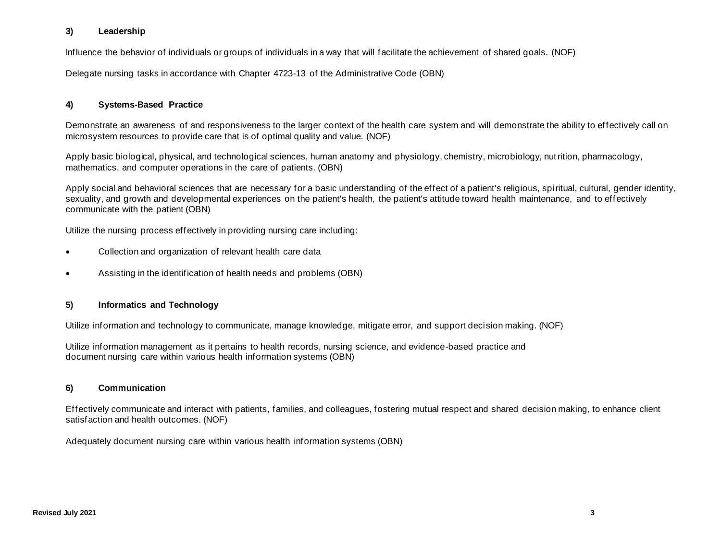## **3) Leadership**

Influence the behavior of individuals or groups of individuals in a way that will facilitate the achievement of shared goals. (NOF)

Delegate nursing tasks in accordance with Chapter 4723-13 of the Administrative Code (OBN)

## **4) Systems-Based Practice**

Demonstrate an awareness of and responsiveness to the larger context of the health care system and will demonstrate the ability to effectively call on microsystem resources to provide care that is of optimal quality and value. (NOF)

Apply basic biological, physical, and technological sciences, human anatomy and physiology, chemistry, microbiology, nutrition, pharmacology, mathematics, and computer operations in the care of patients. (OBN)

Apply social and behavioral sciences that are necessary for a basic understanding of the effect of a patient's religious, spiritual, cultural, gender identity, sexuality, and growth and developmental experiences on the patient's health, the patient's attitude toward health maintenance, and to effectively communicate with the patient (OBN)

Utilize the nursing process effectively in providing nursing care including:

- Collection and organization of relevant health care data
- Assisting in the identification of health needs and problems (OBN)

#### **5) Informatics and Technology**

Utilize information and technology to communicate, manage knowledge, mitigate error, and support decision making. (NOF)

Utilize information management as it pertains to health records, nursing science, and evidence-based practice and document nursing care within various health information systems (OBN)

## **6) Communication**

Effectively communicate and interact with patients, families, and colleagues, fostering mutual respect and shared decision making, to enhance client satisfaction and health outcomes. (NOF)

Adequately document nursing care within various health information systems (OBN)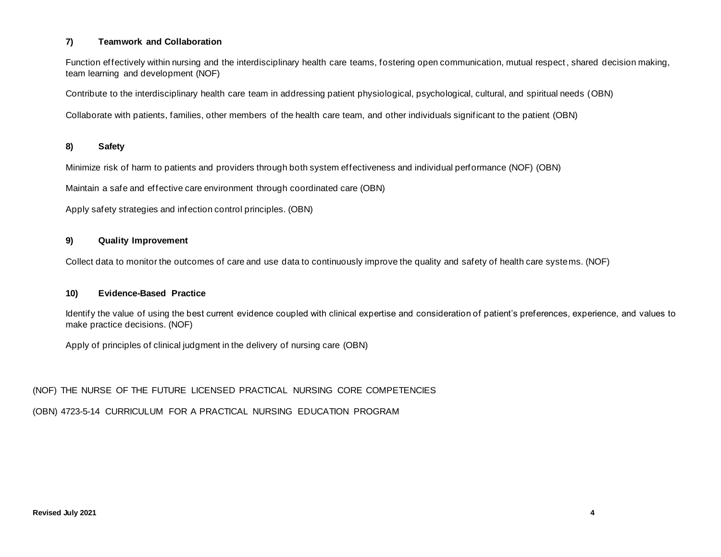## **7) Teamwork and Collaboration**

Function effectively within nursing and the interdisciplinary health care teams, fostering open communication, mutual respect , shared decision making, team learning and development (NOF)

Contribute to the interdisciplinary health care team in addressing patient physiological, psychological, cultural, and spiritual needs (OBN)

Collaborate with patients, families, other members of the health care team, and other individuals significant to the patient (OBN)

## **8) Safety**

Minimize risk of harm to patients and providers through both system effectiveness and individual performance (NOF) (OBN)

Maintain a safe and effective care environment through coordinated care (OBN)

Apply safety strategies and infection control principles. (OBN)

## **9) Quality Improvement**

Collect data to monitor the outcomes of care and use data to continuously improve the quality and safety of health care systems. (NOF)

## **10) Evidence-Based Practice**

Identify the value of using the best current evidence coupled with clinical expertise and consideration of patient's preferences, experience, and values to make practice decisions. (NOF)

Apply of principles of clinical judgment in the delivery of nursing care (OBN)

(NOF) THE NURSE OF THE FUTURE LICENSED PRACTICAL NURSING CORE COMPETENCIES

(OBN) 4723-5-14 CURRICULUM FOR A PRACTICAL NURSING EDUCATION PROGRAM